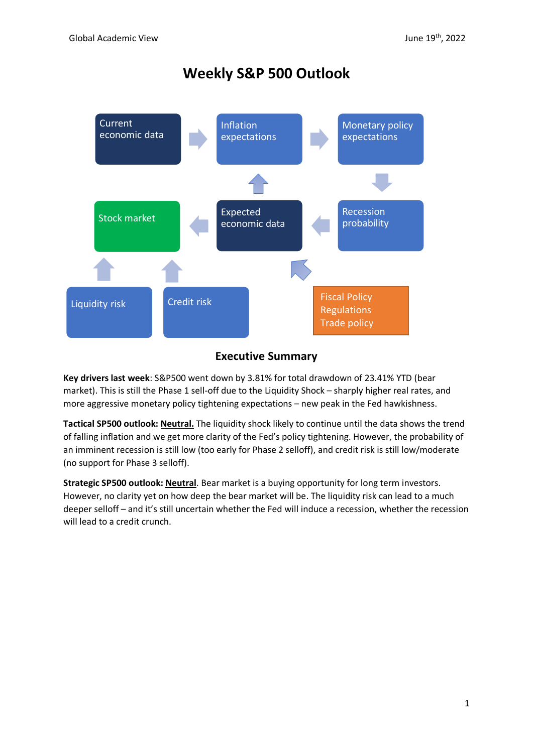# **Weekly S&P 500 Outlook**



# **Executive Summary**

**Key drivers last week**: S&P500 went down by 3.81% for total drawdown of 23.41% YTD (bear market). This is still the Phase 1 sell-off due to the Liquidity Shock – sharply higher real rates, and more aggressive monetary policy tightening expectations – new peak in the Fed hawkishness.

**Tactical SP500 outlook: Neutral.** The liquidity shock likely to continue until the data shows the trend of falling inflation and we get more clarity of the Fed's policy tightening. However, the probability of an imminent recession is still low (too early for Phase 2 selloff), and credit risk is still low/moderate (no support for Phase 3 selloff).

**Strategic SP500 outlook: Neutral**. Bear market is a buying opportunity for long term investors. However, no clarity yet on how deep the bear market will be. The liquidity risk can lead to a much deeper selloff – and it's still uncertain whether the Fed will induce a recession, whether the recession will lead to a credit crunch.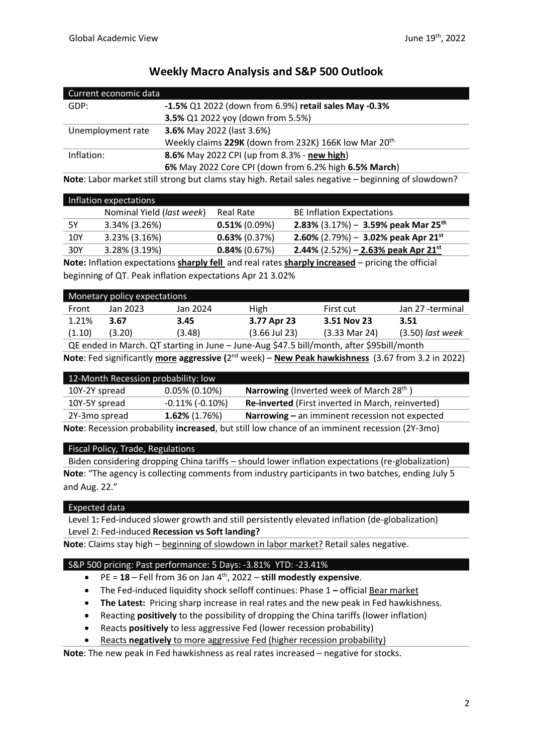| Current economic data |                                                                   |
|-----------------------|-------------------------------------------------------------------|
| GDP:                  | -1.5% Q1 2022 (down from 6.9%) retail sales May -0.3%             |
|                       | 3.5% Q1 2022 yoy (down from 5.5%)                                 |
| Unemployment rate     | <b>3.6%</b> May 2022 (last 3.6%)                                  |
|                       | Weekly claims 229K (down from 232K) 166K low Mar 20 <sup>th</sup> |
| Inflation:            | 8.6% May 2022 CPI (up from 8.3% - new high)                       |
|                       | 6% May 2022 Core CPI (down from 6.2% high 6.5% March)             |

# **Weekly Macro Analysis and S&P 500 Outlook**

**Note**: Labor market still strong but clams stay high. Retail sales negative – beginning of slowdown?

|     | Inflation expectations    |                  |                                                   |
|-----|---------------------------|------------------|---------------------------------------------------|
|     | Nominal Yield (last week) | <b>Real Rate</b> | <b>BE Inflation Expectations</b>                  |
| 5Υ  | 3.34% (3.26%)             | $0.51\%$ (0.09%) | 2.83% $(3.17%)$ – 3.59% peak Mar 25 <sup>th</sup> |
| 10Y | $3.23\%$ (3.16%)          | $0.63\%$ (0.37%) | 2.60% (2.79%) - 3.02% peak Apr 21 <sup>st</sup>   |
| 30Y | 3.28% (3.19%)             | $0.84\%$ (0.67%) | 2.44% $(2.52%)$ – 2.63% peak Apr 21 <sup>st</sup> |

**Note:** Inflation expectations **sharply fell** and real rates **sharply increased** – pricing the official beginning of QT. Peak inflation expectations Apr 21 3.02%

| Monetary policy expectations |          |          |                 |                          |                    |
|------------------------------|----------|----------|-----------------|--------------------------|--------------------|
| Front                        | Jan 2023 | Jan 2024 | High            | First cut                | Jan 27 -terminal   |
| 1.21%                        | 3.67     | 3.45     | 3.77 Apr 23     | 3.51 Nov 23              | 3.51               |
| (1.10)                       | (3.20)   | (3.48)   | $(3.66$ Jul 23) | $(3.33 \text{ Mar } 24)$ | $(3.50)$ last week |
| $-$                          |          |          |                 |                          |                    |

QE ended in March. QT starting in June – June-Aug \$47.5 bill/month, after \$95bill/month **Note**: Fed significantly **more aggressive (**2 nd week) – **New Peak hawkishness** (3.67 from 3.2 in 2022)

| 12-Month Recession probability: low                                                           |                         |                                                             |  |
|-----------------------------------------------------------------------------------------------|-------------------------|-------------------------------------------------------------|--|
| 10Y-2Y spread                                                                                 | $0.05\%$ (0.10%)        | <b>Narrowing</b> (Inverted week of March 28 <sup>th</sup> ) |  |
| 10Y-5Y spread                                                                                 | $-0.11\%$ ( $-0.10\%$ ) | Re-inverted (First inverted in March, reinverted)           |  |
| $1.62\%$ (1.76%)<br>2Y-3mo spread<br>Narrowing - an imminent recession not expected           |                         |                                                             |  |
| Note: Recession probability increased, but still low chance of an imminent recession (2Y-3mo) |                         |                                                             |  |

#### Fiscal Policy, Trade, Regulations

Biden considering dropping China tariffs – should lower inflation expectations (re-globalization) **Note**: "The agency is collecting comments from industry participants in two batches, ending July 5 and Aug. 22."

# Expected data

Level 1**:** Fed-induced slower growth and still persistently elevated inflation (de-globalization) Level 2: Fed-induced **Recession vs Soft landing?**

**Note**: Claims stay high – beginning of slowdown in labor market? Retail sales negative.

# S&P 500 pricing: Past performance: 5 Days: -3.81% YTD: -23.41%

- PE = **18** Fell from 36 on Jan 4th , 2022 **still modestly expensive**.
- The Fed-induced liquidity shock selloff continues: Phase 1 official Bear market
- **The Latest:** Pricing sharp increase in real rates and the new peak in Fed hawkishness.
- Reacting **positively** to the possibility of dropping the China tariffs (lower inflation)
- Reacts **positively** to less aggressive Fed (lower recession probability)
- Reacts **negatively** to more aggressive Fed (higher recession probability)

**Note**: The new peak in Fed hawkishness as real rates increased – negative for stocks.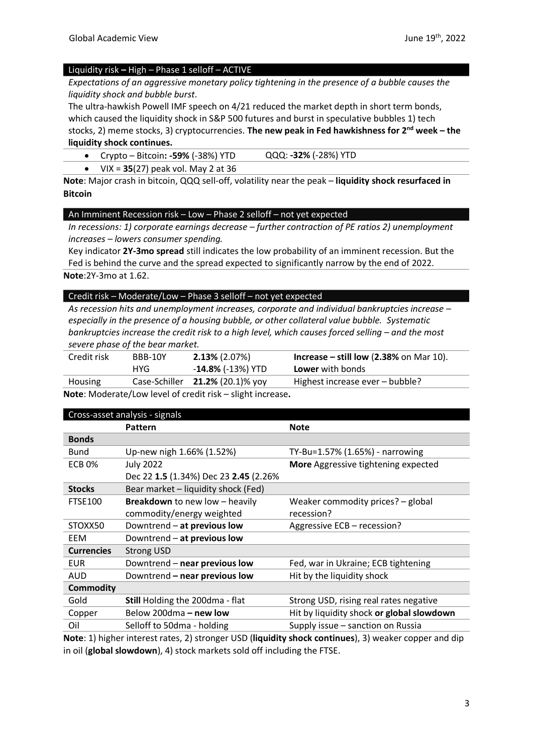#### Liquidity risk **–** High – Phase 1 selloff – ACTIVE

*Expectations of an aggressive monetary policy tightening in the presence of a bubble causes the liquidity shock and bubble burst.*

The ultra-hawkish Powell IMF speech on 4/21 reduced the market depth in short term bonds, which caused the liquidity shock in S&P 500 futures and burst in speculative bubbles 1) tech stocks, 2) meme stocks, 3) cryptocurrencies. **The new peak in Fed hawkishness for 2nd week – the liquidity shock continues.** 

## • Crypto – Bitcoin**: -59%** (-38%) YTD QQQ: **-32%** (-28%) YTD

• VIX = **35**(27) peak vol. May 2 at 36

**Note**: Major crash in bitcoin, QQQ sell-off, volatility near the peak – **liquidity shock resurfaced in Bitcoin**

#### An Imminent Recession risk – Low – Phase 2 selloff – not yet expected

*In recessions: 1) corporate earnings decrease – further contraction of PE ratios 2) unemployment increases – lowers consumer spending.*

Key indicator **2Y-3mo spread** still indicates the low probability of an imminent recession. But the Fed is behind the curve and the spread expected to significantly narrow by the end of 2022. **Note**:2Y-3mo at 1.62.

#### Credit risk – Moderate/Low – Phase 3 selloff – not yet expected

*As recession hits and unemployment increases, corporate and individual bankruptcies increase – especially in the presence of a housing bubble, or other collateral value bubble. Systematic bankruptcies increase the credit risk to a high level, which causes forced selling – and the most severe phase of the bear market.* 

| Credit risk                                               | BBB-10Y | $2.13\%$ (2.07%)                   | Increase $-$ still low (2.38% on Mar 10). |
|-----------------------------------------------------------|---------|------------------------------------|-------------------------------------------|
|                                                           | HYG     | - <b>14.8%</b> (-13%) YTD          | <b>Lower</b> with bonds                   |
| Housing                                                   |         | Case-Schiller $21.2\%$ (20.1)% yoy | Highest increase ever – bubble?           |
| Note: Moderate/Low Jevel of credit risk - slight increase |         |                                    |                                           |

**Note**: Moderate/Low level of credit risk – slight increase**.**

| Cross-asset analysis - signals |                                        |                                           |  |
|--------------------------------|----------------------------------------|-------------------------------------------|--|
|                                | Pattern                                | <b>Note</b>                               |  |
| <b>Bonds</b>                   |                                        |                                           |  |
| <b>Bund</b>                    | Up-new nigh 1.66% (1.52%)              | TY-Bu=1.57% (1.65%) - narrowing           |  |
| <b>ECB 0%</b>                  | <b>July 2022</b>                       | More Aggressive tightening expected       |  |
|                                | Dec 22 1.5 (1.34%) Dec 23 2.45 (2.26%  |                                           |  |
| <b>Stocks</b>                  | Bear market - liquidity shock (Fed)    |                                           |  |
| <b>FTSE100</b>                 | Breakdown to new low - heavily         | Weaker commodity prices? - global         |  |
|                                | commodity/energy weighted              | recession?                                |  |
| STOXX50                        | Downtrend - at previous low            | Aggressive ECB - recession?               |  |
| EEM                            | Downtrend - at previous low            |                                           |  |
| <b>Currencies</b>              | <b>Strong USD</b>                      |                                           |  |
| <b>EUR</b>                     | Downtrend - near previous low          | Fed, war in Ukraine; ECB tightening       |  |
| AUD                            | Downtrend - near previous low          | Hit by the liquidity shock                |  |
| <b>Commodity</b>               |                                        |                                           |  |
| Gold                           | <b>Still Holding the 200dma - flat</b> | Strong USD, rising real rates negative    |  |
| Copper                         | Below 200dma - new low                 | Hit by liquidity shock or global slowdown |  |
| Oil                            | Selloff to 50dma - holding             | Supply issue - sanction on Russia         |  |
| .                              |                                        | $\cdots$                                  |  |

**Note**: 1) higher interest rates, 2) stronger USD (**liquidity shock continues**), 3) weaker copper and dip in oil (**global slowdown**), 4) stock markets sold off including the FTSE.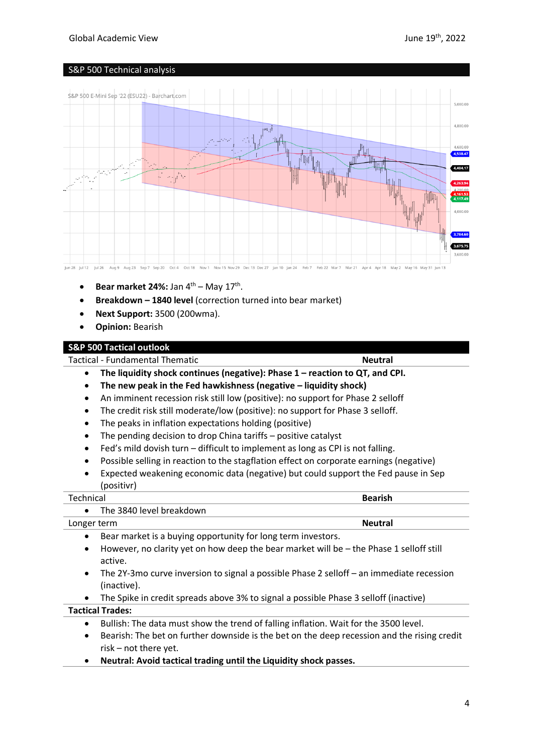# Global Academic View June 19th, 2022

# S&P 500 Technical analysis



- **Bear market 24%:** Jan  $4^{\text{th}}$  May  $17^{\text{th}}$ .
- **Breakdown – 1840 level** (correction turned into bear market)
- **Next Support:** 3500 (200wma).
- **Opinion:** Bearish

## **S&P 500 Tactical outlook**

Tactical - Fundamental Thematic **Neutral**

- **The liquidity shock continues (negative): Phase 1 – reaction to QT, and CPI.**
- **The new peak in the Fed hawkishness (negative – liquidity shock)**
- An imminent recession risk still low (positive): no support for Phase 2 selloff
- The credit risk still moderate/low (positive): no support for Phase 3 selloff.
- The peaks in inflation expectations holding (positive)
- The pending decision to drop China tariffs positive catalyst
- Fed's mild dovish turn difficult to implement as long as CPI is not falling.
- Possible selling in reaction to the stagflation effect on corporate earnings (negative)
- Expected weakening economic data (negative) but could support the Fed pause in Sep (positivr)

| Technical                | <b>Bearish</b>                                                                           |
|--------------------------|------------------------------------------------------------------------------------------|
| ٠                        | The 3840 level breakdown                                                                 |
| Longer term              | <b>Neutral</b>                                                                           |
| ٠                        | Bear market is a buying opportunity for long term investors.                             |
| ٠<br>active.             | However, no clarity yet on how deep the bear market will be - the Phase 1 selloff still  |
| $\bullet$<br>(inactive). | The 2Y-3mo curve inversion to signal a possible Phase 2 selloff – an immediate recession |
| $\bullet$                | The Spike in credit spreads above 3% to signal a possible Phase 3 selloff (inactive)     |
| <b>Tactical Trades:</b>  |                                                                                          |
| ٠                        | Bullish: The data must show the trend of falling inflation. Wait for the 3500 level.     |

- Bearish: The bet on further downside is the bet on the deep recession and the rising credit risk – not there yet.
- **Neutral: Avoid tactical trading until the Liquidity shock passes.**